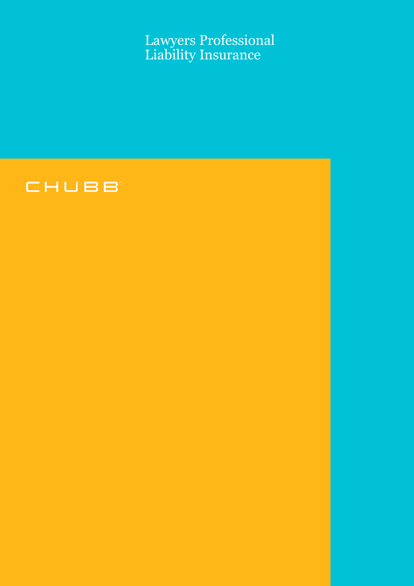Lawyers Professional Liability Insurance

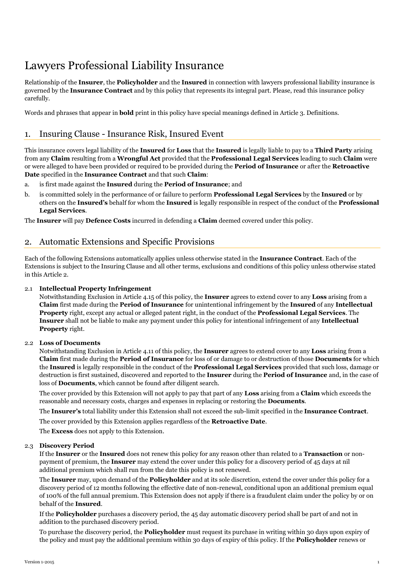## Lawyers Professional Liability Insurance

Relationship of the **Insurer**, the **Policyholder** and the **Insured** in connection with lawyers professional liability insurance is governed by the **Insurance Contract** and by this policy that represents its integral part. Please, read this insurance policy carefully.

Words and phrases that appear in **bold** print in this policy have special meanings defined in Article 3. Definitions.

## 1. Insuring Clause - Insurance Risk, Insured Event

This insurance covers legal liability of the **Insured** for **Loss** that the **Insured** is legally liable to pay to a **Third Party** arising from any **Claim** resulting from a **Wrongful Act** provided that the **Professional Legal Services** leading to such **Claim** were or were alleged to have been provided or required to be provided during the **Period of Insurance** or after the **Retroactive Date** specified in the **Insurance Contract** and that such **Claim**:

- a. is first made against the **Insured** during the **Period of Insurance**; and
- b. is committed solely in the performance of or failure to perform **Professional Legal Services** by the **Insured** or by others on the **Insured's** behalf for whom the **Insured** is legally responsible in respect of the conduct of the **Professional Legal Services**.

The **Insurer** will pay **Defence Costs** incurred in defending a **Claim** deemed covered under this policy.

## 2. Automatic Extensions and Specific Provisions

Each of the following Extensions automatically applies unless otherwise stated in the **Insurance Contract**. Each of the Extensions is subject to the Insuring Clause and all other terms, exclusions and conditions of this policy unless otherwise stated in this Article 2.

#### 2.1 **Intellectual Property Infringement**

Notwithstanding Exclusion in Article [4.15](#page-6-0) of this policy, the **Insurer** agrees to extend cover to any **Loss** arising from a **Claim** first made during the **Period of Insurance** for unintentional infringement by the **Insured** of any **Intellectual Property** right, except any actual or alleged patent right, in the conduct of the **Professional Legal Services**. The **Insurer** shall not be liable to make any payment under this policy for intentional infringement of any **Intellectual Property** right.

#### 2.2 **Loss of Documents**

Notwithstanding Exclusion in Article [4.11](#page-6-1) of this policy, the **Insurer** agrees to extend cover to any **Loss** arising from a **Claim** first made during the **Period of Insurance** for loss of or damage to or destruction of those **Documents** for which the **Insured** is legally responsible in the conduct of the **Professional Legal Services** provided that such loss, damage or destruction is first sustained, discovered and reported to the **Insurer** during the **Period of Insurance** and, in the case of loss of **Documents**, which cannot be found after diligent search.

The cover provided by this Extension will not apply to pay that part of any **Loss** arising from a **Claim** which exceeds the reasonable and necessary costs, charges and expenses in replacing or restoring the **Documents**.

The **Insurer's** total liability under this Extension shall not exceed the sub-limit specified in the **Insurance Contract**.

The cover provided by this Extension applies regardless of the **Retroactive Date**.

The **Excess** does not apply to this Extension.

#### 2.3 **Discovery Period**

If the **Insurer** or the **Insured** does not renew this policy for any reason other than related to a **Transaction** or nonpayment of premium, the **Insurer** may extend the cover under this policy for a discovery period of 45 days at nil additional premium which shall run from the date this policy is not renewed.

The **Insurer** may, upon demand of the **Policyholder** and at its sole discretion, extend the cover under this policy for a discovery period of 12 months following the effective date of non-renewal, conditional upon an additional premium equal of 100% of the full annual premium. This Extension does not apply if there is a fraudulent claim under the policy by or on behalf of the **Insured**.

If the **Policyholder** purchases a discovery period, the 45 day automatic discovery period shall be part of and not in addition to the purchased discovery period.

To purchase the discovery period, the **Policyholder** must request its purchase in writing within 30 days upon expiry of the policy and must pay the additional premium within 30 days of expiry of this policy. If the **Policyholder** renews or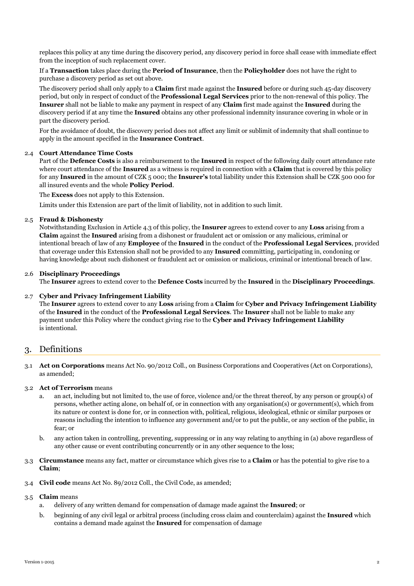replaces this policy at any time during the discovery period, any discovery period in force shall cease with immediate effect from the inception of such replacement cover.

If a **Transaction** takes place during the **Period of Insurance**, then the **Policyholder** does not have the right to purchase a discovery period as set out above.

The discovery period shall only apply to a **Claim** first made against the **Insured** before or during such 45-day discovery period, but only in respect of conduct of the **Professional Legal Services** prior to the non-renewal of this policy. The **Insurer** shall not be liable to make any payment in respect of any **Claim** first made against the **Insured** during the discovery period if at any time the **Insured** obtains any other professional indemnity insurance covering in whole or in part the discovery period.

For the avoidance of doubt, the discovery period does not affect any limit or sublimit of indemnity that shall continue to apply in the amount specified in the **Insurance Contract**.

#### 2.4 **Court Attendance Time Costs**

Part of the **Defence Costs** is also a reimbursement to the **Insured** in respect of the following daily court attendance rate where court attendance of the **Insured** as a witness is required in connection with a **Claim** that is covered by this policy for any **Insured** in the amount of CZK 5 000; the **Insurer's** total liability under this Extension shall be CZK 500 000 for all insured events and the whole **Policy Period**.

The **Excess** does not apply to this Extension.

Limits under this Extension are part of the limit of liability, not in addition to such limit.

#### 2.5 **Fraud & Dishonesty**

Notwithstanding Exclusion in Article [4.3](#page-5-0) of this policy, the **Insurer** agrees to extend cover to any **Loss** arising from a **Claim** against the **Insured** arising from a dishonest or fraudulent act or omission or any malicious, criminal or intentional breach of law of any **Employee** of the **Insured** in the conduct of the **Professional Legal Services**, provided that coverage under this Extension shall not be provided to any **Insured** committing, participating in, condoning or having knowledge about such dishonest or fraudulent act or omission or malicious, criminal or intentional breach of law.

#### 2.6 **Disciplinary Proceedings**

The **Insurer** agrees to extend cover to the **Defence Costs** incurred by the **Insured** in the **Disciplinary Proceedings**.

#### 2.7 **Cyber and Privacy Infringement Liability**

The **Insurer** agrees to extend cover to any **Loss** arising from a **Claim** for **Cyber and Privacy Infringement Liability** of the **Insured** in the conduct of the **Professional Legal Services**. The **Insurer** shall not be liable to make any payment under this Policy where the conduct giving rise to the **Cyber and Privacy Infringement Liability** is intentional.

## 3. Definitions

3.1 **Act on Corporations** means Act No. 90/2012 Coll., on Business Corporations and Cooperatives (Act on Corporations), as amended;

#### 3.2 **Act of Terrorism** means

- a. an act, including but not limited to, the use of force, violence and/or the threat thereof, by any person or group(s) of persons, whether acting alone, on behalf of, or in connection with any organisation(s) or government(s), which from its nature or context is done for, or in connection with, political, religious, ideological, ethnic or similar purposes or reasons including the intention to influence any government and/or to put the public, or any section of the public, in fear; or
- b. any action taken in controlling, preventing, suppressing or in any way relating to anything in (a) above regardless of any other cause or event contributing concurrently or in any other sequence to the loss;
- 3.3 **Circumstance** means any fact, matter or circumstance which gives rise to a **Claim** or has the potential to give rise to a **Claim**;
- 3.4 **Civil code** means Act No. 89/2012 Coll., the Civil Code, as amended;

#### 3.5 **Claim** means

- a. delivery of any written demand for compensation of damage made against the **Insured**; or
- b. beginning of any civil legal or arbitral process (including cross claim and counterclaim) against the **Insured** which contains a demand made against the **Insured** for compensation of damage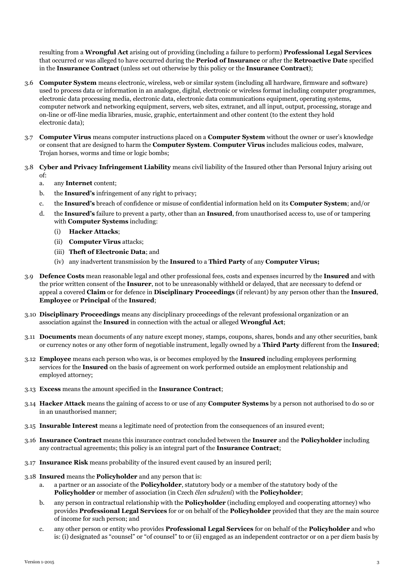resulting from a **Wrongful Act** arising out of providing (including a failure to perform) **Professional Legal Services** that occurred or was alleged to have occurred during the **Period of Insurance** or after the **Retroactive Date** specified in the **Insurance Contract** (unless set out otherwise by this policy or the **Insurance Contract**);

- 3.6 **Computer System** means electronic, wireless, web or similar system (including all hardware, firmware and software) used to process data or information in an analogue, digital, electronic or wireless format including computer programmes, electronic data processing media, electronic data, electronic data communications equipment, operating systems, computer network and networking equipment, servers, web sites, extranet, and all input, output, processing, storage and on-line or off-line media libraries, music, graphic, entertainment and other content (to the extent they hold electronic data);
- 3.7 **Computer Virus** means computer instructions placed on a **Computer System** without the owner or user's knowledge or consent that are designed to harm the **Computer System**. **Computer Virus** includes malicious codes, malware, Trojan horses, worms and time or logic bombs;
- 3.8 **Cyber and Privacy Infringement Liability** means civil liability of the Insured other than Personal Injury arising out of:
	- a. any **Internet** content;
	- b. the **Insured's** infringement of any right to privacy;
	- c. the **Insured's** breach of confidence or misuse of confidential information held on its **Computer System**; and/or
	- d. the **Insured's** failure to prevent a party, other than an **Insured**, from unauthorised access to, use of or tampering with **Computer Systems** including:
		- (i) **Hacker Attacks**;
		- (ii) **Computer Virus** attacks;
		- (iii) **Theft of Electronic Data**; and
		- (iv) any inadvertent transmission by the **Insured** to a **Third Party** of any **Computer Virus;**
- 3.9 **Defence Costs** mean reasonable legal and other professional fees, costs and expenses incurred by the **Insured** and with the prior written consent of the **Insurer**, not to be unreasonably withheld or delayed, that are necessary to defend or appeal a covered **Claim** or for defence in **Disciplinary Proceedings** (if relevant) by any person other than the **Insured**, **Employee** or **Principal** of the **Insured**;
- 3.10 **Disciplinary Proceedings** means any disciplinary proceedings of the relevant professional organization or an association against the **Insured** in connection with the actual or alleged **Wrongful Act**;
- 3.11 **Documents** mean documents of any nature except money, stamps, coupons, shares, bonds and any other securities, bank or currency notes or any other form of negotiable instrument, legally owned by a **Third Party** different from the **Insured**;
- 3.12 **Employee** means each person who was, is or becomes employed by the **Insured** including employees performing services for the **Insured** on the basis of agreement on work performed outside an employment relationship and employed attorney;
- 3.13 **Excess** means the amount specified in the **Insurance Contract**;
- 3.14 **Hacker Attack** means the gaining of access to or use of any **Computer Systems** by a person not authorised to do so or in an unauthorised manner;
- 3.15 **Insurable Interest** means a legitimate need of protection from the consequences of an insured event;
- 3.16 **Insurance Contract** means this insurance contract concluded between the **Insurer** and the **Policyholder** including any contractual agreements; this policy is an integral part of the **Insurance Contract**;
- 3.17 **Insurance Risk** means probability of the insured event caused by an insured peril;
- 3.18 **Insured** means the **Policyholder** and any person that is:
	- a. a partner or an associate of the **Policyholder**, statutory body or a member of the statutory body of the **Policyholder** or member of association (in Czech *člen sdružení*) with the **Policyholder**;
	- b. any person in contractual relationship with the **Policyholder** (including employed and cooperating attorney) who provides **Professional Legal Services** for or on behalf of the **Policyholder** provided that they are the main source of income for such person; and
	- c. any other person or entity who provides **Professional Legal Services** for on behalf of the **Policyholder** and who is: (i) designated as "counsel" or "of counsel" to or (ii) engaged as an independent contractor or on a per diem basis by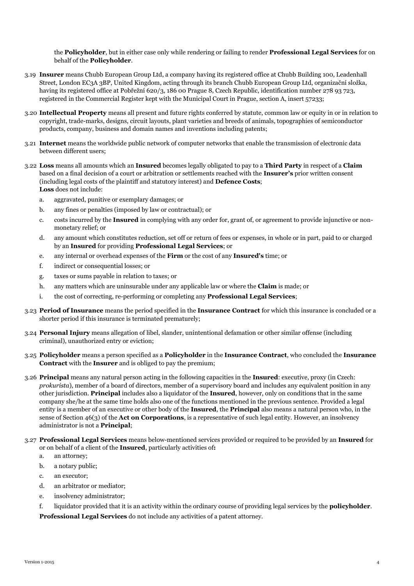the **Policyholder**, but in either case only while rendering or failing to render **Professional Legal Services** for on behalf of the **Policyholder**.

- 3.19 **Insurer** means Chubb European Group Ltd, a company having its registered office at Chubb Building 100, Leadenhall Street, London EC3A 3BP, United Kingdom, acting through its branch Chubb European Group Ltd, organizační složka, having its registered office at Pobřežní 620/3, 186 00 Prague 8, Czech Republic, identification number 278 93 723, registered in the Commercial Register kept with the Municipal Court in Prague, section A, insert 57233;
- 3.20 **Intellectual Property** means all present and future rights conferred by statute, common law or equity in or in relation to copyright, trade-marks, designs, circuit layouts, plant varieties and breeds of animals, topographies of semiconductor products, company, business and domain names and inventions including patents;
- 3.21 **Internet** means the worldwide public network of computer networks that enable the transmission of electronic data between different users;
- 3.22 **Loss** means all amounts which an **Insured** becomes legally obligated to pay to a **Third Party** in respect of a **Claim** based on a final decision of a court or arbitration or settlements reached with the **Insurer's** prior written consent (including legal costs of the plaintiff and statutory interest) and **Defence Costs**; **Loss** does not include:
	- a. aggravated, punitive or exemplary damages; or
	- b. any fines or penalties (imposed by law or contractual); or
	- c. costs incurred by the **Insured** in complying with any order for, grant of, or agreement to provide injunctive or nonmonetary relief; or
	- d. any amount which constitutes reduction, set off or return of fees or expenses, in whole or in part, paid to or charged by an **Insured** for providing **Professional Legal Services**; or
	- e. any internal or overhead expenses of the **Firm** or the cost of any **Insured's** time; or
	- f. indirect or consequential losses; or
	- g. taxes or sums payable in relation to taxes; or
	- h. any matters which are uninsurable under any applicable law or where the **Claim** is made; or
	- i. the cost of correcting, re-performing or completing any **Professional Legal Services**;
- 3.23 **Period of Insurance** means the period specified in the **Insurance Contract** for which this insurance is concluded or a shorter period if this insurance is terminated prematurely;
- 3.24 **Personal Injury** means allegation of libel, slander, unintentional defamation or other similar offense (including criminal), unauthorized entry or eviction;
- 3.25 **Policyholder** means a person specified as a **Policyholder** in the **Insurance Contract**, who concluded the **Insurance Contract** with the **Insurer** and is obliged to pay the premium;
- 3.26 **Principal** means any natural person acting in the following capacities in the **Insured**: executive, proxy (in Czech: *prokurista*), member of a board of directors, member of a supervisory board and includes any equivalent position in any other jurisdiction. **Principal** includes also a liquidator of the **Insured**, however, only on conditions that in the same company she/he at the same time holds also one of the functions mentioned in the previous sentence. Provided a legal entity is a member of an executive or other body of the **Insured**, the **Principal** also means a natural person who, in the sense of Section 46(3) of the **Act on Corporations**, is a representative of such legal entity. However, an insolvency administrator is not a **Principal**;
- 3.27 **Professional Legal Services** means below-mentioned services provided or required to be provided by an **Insured** for or on behalf of a client of the **Insured**, particularly activities of**:**
	- a. an attorney;
	- b. a notary public;
	- c. an executor;
	- d. an arbitrator or mediator;
	- e. insolvency administrator;
	- f. liquidator provided that it is an activity within the ordinary course of providing legal services by the **policyholder**.

**Professional Legal Services** do not include any activities of a patent attorney.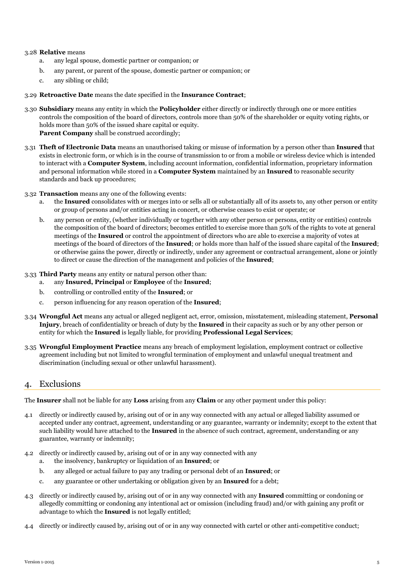#### 3.28 **Relative** means

- a. any legal spouse, domestic partner or companion; or
- b. any parent, or parent of the spouse, domestic partner or companion; or
- c. any sibling or child;

#### 3.29 **Retroactive Date** means the date specified in the **Insurance Contract**;

- 3.30 **Subsidiary** means any entity in which the **Policyholder** either directly or indirectly through one or more entities controls the composition of the board of directors, controls more than 50% of the shareholder or equity voting rights, or holds more than 50% of the issued share capital or equity. **Parent Company** shall be construed accordingly;
- 3.31 **Theft of Electronic Data** means an unauthorised taking or misuse of information by a person other than **Insured** that exists in electronic form, or which is in the course of transmission to or from a mobile or wireless device which is intended to interact with a **Computer System**, including account information, confidential information, proprietary information and personal information while stored in a **Computer System** maintained by an **Insured** to reasonable security standards and back up procedures;
- 3.32 **Transaction** means any one of the following events:
	- a. the **Insured** consolidates with or merges into or sells all or substantially all of its assets to, any other person or entity or group of persons and/or entities acting in concert, or otherwise ceases to exist or operate; or
	- b. any person or entity, (whether individually or together with any other person or persons, entity or entities) controls the composition of the board of directors; becomes entitled to exercise more than 50% of the rights to vote at general meetings of the **Insured** or control the appointment of directors who are able to exercise a majority of votes at meetings of the board of directors of the **Insured**; or holds more than half of the issued share capital of the **Insured**; or otherwise gains the power, directly or indirectly, under any agreement or contractual arrangement, alone or jointly to direct or cause the direction of the management and policies of the **Insured**;
- 3.33 **Third Party** means any entity or natural person other than:
	- a. any **Insured, Principal** or **Employee** of the **Insured**;
	- b. controlling or controlled entity of the **Insured**; or
	- c. person influencing for any reason operation of the **Insured**;
- 3.34 **Wrongful Act** means any actual or alleged negligent act, error, omission, misstatement, misleading statement, **Personal Injury**, breach of confidentiality or breach of duty by the **Insured** in their capacity as such or by any other person or entity for which the **Insured** is legally liable, for providing **Professional Legal Services**;
- 3.35 **Wrongful Employment Practice** means any breach of employment legislation, employment contract or collective agreement including but not limited to wrongful termination of employment and unlawful unequal treatment and discrimination (including sexual or other unlawful harassment).

### 4. Exclusions

The **Insurer** shall not be liable for any **Loss** arising from any **Claim** or any other payment under this policy:

- 4.1 directly or indirectly caused by, arising out of or in any way connected with any actual or alleged liability assumed or accepted under any contract, agreement, understanding or any guarantee, warranty or indemnity; except to the extent that such liability would have attached to the **Insured** in the absence of such contract, agreement, understanding or any guarantee, warranty or indemnity;
- 4.2 directly or indirectly caused by, arising out of or in any way connected with any a. the insolvency, bankruptcy or liquidation of an **Insured**; or
	- b. any alleged or actual failure to pay any trading or personal debt of an **Insured**; or
	- c. any guarantee or other undertaking or obligation given by an **Insured** for a debt;
- <span id="page-5-0"></span>4.3 directly or indirectly caused by, arising out of or in any way connected with any **Insured** committing or condoning or allegedly committing or condoning any intentional act or omission (including fraud) and/or with gaining any profit or advantage to which the **Insured** is not legally entitled;
- 4.4 directly or indirectly caused by, arising out of or in any way connected with cartel or other anti-competitive conduct;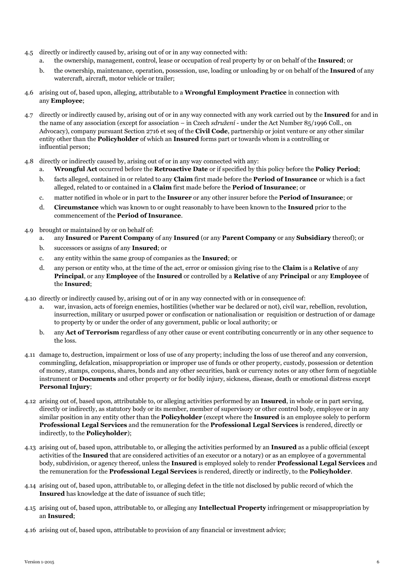- 4.5 directly or indirectly caused by, arising out of or in any way connected with:
	- a. the ownership, management, control, lease or occupation of real property by or on behalf of the **Insured**; or
	- b. the ownership, maintenance, operation, possession, use, loading or unloading by or on behalf of the **Insured** of any watercraft, aircraft, motor vehicle or trailer;
- 4.6 arising out of, based upon, alleging, attributable to a **Wrongful Employment Practice** in connection with any **Employee**;
- 4.7 directly or indirectly caused by, arising out of or in any way connected with any work carried out by the **Insured** for and in the name of any association (except for association – in Czech *sdružení* - under the Act Number 85/1996 Coll., on Advocacy), company pursuant Section 2716 et seq of the **Civil Code**, partnership or joint venture or any other similar entity other than the **Policyholder** of which an **Insured** forms part or towards whom is a controlling or influential person;
- 4.8 directly or indirectly caused by, arising out of or in any way connected with any:
	- a. **Wrongful Act** occurred before the **Retroactive Date** or if specified by this policy before the **Policy Period**;
	- b. facts alleged, contained in or related to any **Claim** first made before the **Period of Insurance** or which is a fact alleged, related to or contained in a **Claim** first made before the **Period of Insurance**; or
	- c. matter notified in whole or in part to the **Insurer** or any other insurer before the **Period of Insurance**; or
	- d. **Circumstance** which was known to or ought reasonably to have been known to the **Insured** prior to the commencement of the **Period of Insurance**.
- 4.9 brought or maintained by or on behalf of:
	- a. any **Insured** or **Parent Company** of any **Insured** (or any **Parent Company** or any **Subsidiary** thereof); or
	- b. successors or assigns of any **Insured**; or
	- c. any entity within the same group of companies as the **Insured**; or
	- d. any person or entity who, at the time of the act, error or omission giving rise to the **Claim** is a **Relative** of any **Principal**, or any **Employee** of the **Insured** or controlled by a **Relative** of any **Principal** or any **Employee** of the **Insured**;
- 4.10 directly or indirectly caused by, arising out of or in any way connected with or in consequence of:
	- a. war, invasion, acts of foreign enemies, hostilities (whether war be declared or not), civil war, rebellion, revolution, insurrection, military or usurped power or confiscation or nationalisation or requisition or destruction of or damage to property by or under the order of any government, public or local authority; or
	- b. any **Act of Terrorism** regardless of any other cause or event contributing concurrently or in any other sequence to the loss.
- <span id="page-6-1"></span>4.11 damage to, destruction, impairment or loss of use of any property; including the loss of use thereof and any conversion, commingling, defalcation, misappropriation or improper use of funds or other property, custody, possession or detention of money, stamps, coupons, shares, bonds and any other securities, bank or currency notes or any other form of negotiable instrument or **Documents** and other property or for bodily injury, sickness, disease, death or emotional distress except **Personal Injury**;
- 4.12 arising out of, based upon, attributable to, or alleging activities performed by an **Insured**, in whole or in part serving, directly or indirectly, as statutory body or its member, member of supervisory or other control body, employee or in any similar position in any entity other than the **Policyholder** (except where the **Insured** is an employee solely to perform **Professional Legal Services** and the remuneration for the **Professional Legal Services** is rendered, directly or indirectly, to the **Policyholder**);
- 4.13 arising out of, based upon, attributable to, or alleging the activities performed by an **Insured** as a public official (except activities of the **Insured** that are considered activities of an executor or a notary) or as an employee of a governmental body, subdivision, or agency thereof, unless the **Insured** is employed solely to render **Professional Legal Services** and the remuneration for the **Professional Legal Services** is rendered, directly or indirectly, to the **Policyholder**.
- 4.14 arising out of, based upon, attributable to, or alleging defect in the title not disclosed by public record of which the **Insured** has knowledge at the date of issuance of such title;
- <span id="page-6-0"></span>4.15 arising out of, based upon, attributable to, or alleging any **Intellectual Property** infringement or misappropriation by an **Insured**;
- 4.16 arising out of, based upon, attributable to provision of any financial or investment advice;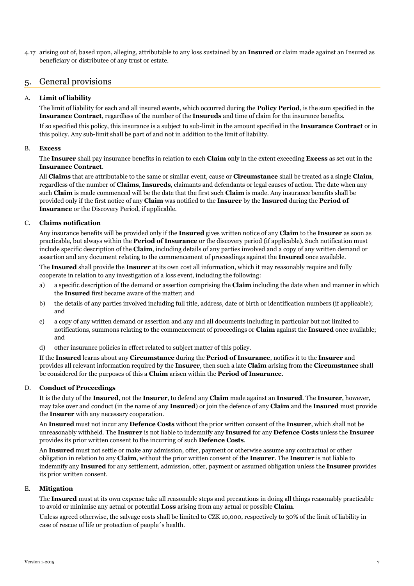4.17 arising out of, based upon, alleging, attributable to any loss sustained by an **Insured** or claim made against an Insured as beneficiary or distributee of any trust or estate.

## 5. General provisions

#### A. **Limit of liability**

The limit of liability for each and all insured events, which occurred during the **Policy Period**, is the sum specified in the **Insurance Contract**, regardless of the number of the **Insureds** and time of claim for the insurance benefits.

If so specified this policy, this insurance is a subject to sub-limit in the amount specified in the **Insurance Contract** or in this policy. Any sub-limit shall be part of and not in addition to the limit of liability.

#### B. **Excess**

The **Insurer** shall pay insurance benefits in relation to each **Claim** only in the extent exceeding **Excess** as set out in the **Insurance Contract**.

All **Claims** that are attributable to the same or similar event, cause or **Circumstance** shall be treated as a single **Claim**, regardless of the number of **Claims**, **Insureds**, claimants and defendants or legal causes of action. The date when any such **Claim** is made commenced will be the date that the first such **Claim** is made. Any insurance benefits shall be provided only if the first notice of any **Claim** was notified to the **Insurer** by the **Insured** during the **Period of Insurance** or the Discovery Period, if applicable.

#### C. **Claims notification**

Any insurance benefits will be provided only if the **Insured** gives written notice of any **Claim** to the **Insurer** as soon as practicable, but always within the **Period of Insurance** or the discovery period (if applicable). Such notification must include specific description of the **Claim**, including details of any parties involved and a copy of any written demand or assertion and any document relating to the commencement of proceedings against the **Insured** once available.

The **Insured** shall provide the **Insurer** at its own cost all information, which it may reasonably require and fully cooperate in relation to any investigation of a loss event, including the following:

- a) a specific description of the demand or assertion comprising the **Claim** including the date when and manner in which the **Insured** first became aware of the matter; and
- b) the details of any parties involved including full title, address, date of birth or identification numbers (if applicable); and
- c) a copy of any written demand or assertion and any and all documents including in particular but not limited to notifications, summons relating to the commencement of proceedings or **Claim** against the **Insured** once available; and
- d) other insurance policies in effect related to subject matter of this policy.

If the **Insured** learns about any **Circumstance** during the **Period of Insurance**, notifies it to the **Insurer** and provides all relevant information required by the **Insurer**, then such a late **Claim** arising from the **Circumstance** shall be considered for the purposes of this a **Claim** arisen within the **Period of Insurance**.

#### D. **Conduct of Proceedings**

It is the duty of the **Insured**, not the **Insurer**, to defend any **Claim** made against an **Insured**. The **Insurer**, however, may take over and conduct (in the name of any **Insured**) or join the defence of any **Claim** and the **Insured** must provide the **Insurer** with any necessary cooperation.

An **Insured** must not incur any **Defence Costs** without the prior written consent of the **Insurer**, which shall not be unreasonably withheld. The **Insurer** is not liable to indemnify any **Insured** for any **Defence Costs** unless the **Insurer** provides its prior written consent to the incurring of such **Defence Costs**.

An **Insured** must not settle or make any admission, offer, payment or otherwise assume any contractual or other obligation in relation to any **Claim**, without the prior written consent of the **Insurer**. The **Insurer** is not liable to indemnify any **Insured** for any settlement, admission, offer, payment or assumed obligation unless the **Insurer** provides its prior written consent.

#### E. **Mitigation**

The **Insured** must at its own expense take all reasonable steps and precautions in doing all things reasonably practicable to avoid or minimise any actual or potential **Loss** arising from any actual or possible **Claim**.

Unless agreed otherwise, the salvage costs shall be limited to CZK 10,000, respectively to 30% of the limit of liability in case of rescue of life or protection of people´s health.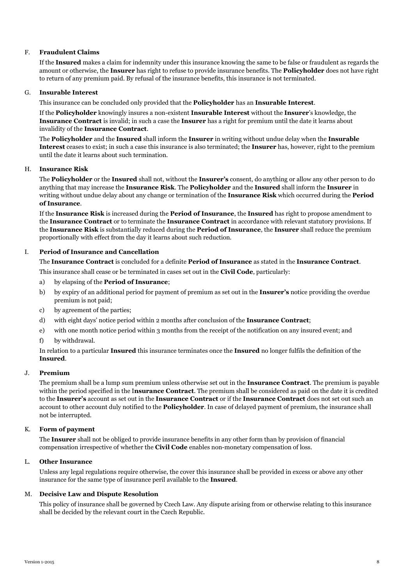#### F. **Fraudulent Claims**

If the **Insured** makes a claim for indemnity under this insurance knowing the same to be false or fraudulent as regards the amount or otherwise, the **Insurer** has right to refuse to provide insurance benefits. The **Policyholder** does not have right to return of any premium paid. By refusal of the insurance benefits, this insurance is not terminated.

#### G. **Insurable Interest**

This insurance can be concluded only provided that the **Policyholder** has an **Insurable Interest**.

If the **Policyholder** knowingly insures a non-existent **Insurable Interest** without the **Insurer**'s knowledge, the **Insurance Contract** is invalid; in such a case the **Insurer** has a right for premium until the date it learns about invalidity of the **Insurance Contract**.

The **Policyholder** and the **Insured** shall inform the **Insurer** in writing without undue delay when the **Insurable Interest** ceases to exist; in such a case this insurance is also terminated; the **Insurer** has, however, right to the premium until the date it learns about such termination.

#### H. **Insurance Risk**

The **Policyholder** or the **Insured** shall not, without the **Insurer's** consent, do anything or allow any other person to do anything that may increase the **Insurance Risk**. The **Policyholder** and the **Insured** shall inform the **Insurer** in writing without undue delay about any change or termination of the **Insurance Risk** which occurred during the **Period of Insurance**.

If the **Insurance Risk** is increased during the **Period of Insurance**, the **Insured** has right to propose amendment to the **Insurance Contract** or to terminate the **Insurance Contract** in accordance with relevant statutory provisions. If the **Insurance Risk** is substantially reduced during the **Period of Insurance**, the **Insurer** shall reduce the premium proportionally with effect from the day it learns about such reduction.

#### I. **Period of Insurance and Cancellation**

The **Insurance Contract** is concluded for a definite **Period of Insurance** as stated in the **Insurance Contract**.

This insurance shall cease or be terminated in cases set out in the **Civil Code**, particularly:

- a) by elapsing of the **Period of Insurance**;
- b) by expiry of an additional period for payment of premium as set out in the **Insurer's** notice providing the overdue premium is not paid;
- c) by agreement of the parties;
- d) with eight days' notice period within 2 months after conclusion of the **Insurance Contract**;
- e) with one month notice period within 3 months from the receipt of the notification on any insured event; and
- f) by withdrawal.

In relation to a particular **Insured** this insurance terminates once the **Insured** no longer fulfils the definition of the **Insured**.

#### J. **Premium**

The premium shall be a lump sum premium unless otherwise set out in the **Insurance Contract**. The premium is payable within the period specified in the I**nsurance Contract**. The premium shall be considered as paid on the date it is credited to the **Insurer's** account as set out in the **Insurance Contract** or if the **Insurance Contract** does not set out such an account to other account duly notified to the **Policyholder**. In case of delayed payment of premium, the insurance shall not be interrupted.

#### K. **Form of payment**

The **Insurer** shall not be obliged to provide insurance benefits in any other form than by provision of financial compensation irrespective of whether the **Civil Code** enables non-monetary compensation of loss.

#### L. **Other Insurance**

Unless any legal regulations require otherwise, the cover this insurance shall be provided in excess or above any other insurance for the same type of insurance peril available to the **Insured**.

#### M. **Decisive Law and Dispute Resolution**

This policy of insurance shall be governed by Czech Law. Any dispute arising from or otherwise relating to this insurance shall be decided by the relevant court in the Czech Republic.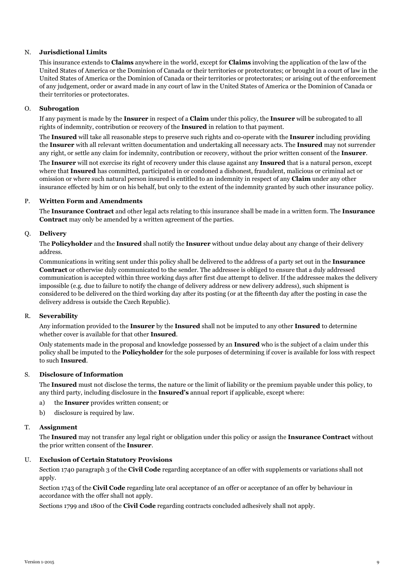#### N. **Jurisdictional Limits**

This insurance extends to **Claims** anywhere in the world, except for **Claims** involving the application of the law of the United States of America or the Dominion of Canada or their territories or protectorates; or brought in a court of law in the United States of America or the Dominion of Canada or their territories or protectorates; or arising out of the enforcement of any judgement, order or award made in any court of law in the United States of America or the Dominion of Canada or their territories or protectorates.

#### O. **Subrogation**

If any payment is made by the **Insurer** in respect of a **Claim** under this policy, the **Insurer** will be subrogated to all rights of indemnity, contribution or recovery of the **Insured** in relation to that payment.

The **Insured** will take all reasonable steps to preserve such rights and co-operate with the **Insurer** including providing the **Insurer** with all relevant written documentation and undertaking all necessary acts. The **Insured** may not surrender any right, or settle any claim for indemnity, contribution or recovery, without the prior written consent of the **Insurer**.

The **Insurer** will not exercise its right of recovery under this clause against any **Insured** that is a natural person, except where that **Insured** has committed, participated in or condoned a dishonest, fraudulent, malicious or criminal act or omission or where such natural person insured is entitled to an indemnity in respect of any **Claim** under any other insurance effected by him or on his behalf, but only to the extent of the indemnity granted by such other insurance policy.

#### P. **Written Form and Amendments**

The **Insurance Contract** and other legal acts relating to this insurance shall be made in a written form. The **Insurance Contract** may only be amended by a written agreement of the parties.

#### Q. **Delivery**

The **Policyholder** and the **Insured** shall notify the **Insurer** without undue delay about any change of their delivery address.

Communications in writing sent under this policy shall be delivered to the address of a party set out in the **Insurance Contract** or otherwise duly communicated to the sender. The addressee is obliged to ensure that a duly addressed communication is accepted within three working days after first due attempt to deliver. If the addressee makes the delivery impossible (e.g. due to failure to notify the change of delivery address or new delivery address), such shipment is considered to be delivered on the third working day after its posting (or at the fifteenth day after the posting in case the delivery address is outside the Czech Republic).

#### R. **Severability**

Any information provided to the **Insurer** by the **Insured** shall not be imputed to any other **Insured** to determine whether cover is available for that other **Insured**.

Only statements made in the proposal and knowledge possessed by an **Insured** who is the subject of a claim under this policy shall be imputed to the **Policyholder** for the sole purposes of determining if cover is available for loss with respect to such **Insured**.

#### S. **Disclosure of Information**

The **Insured** must not disclose the terms, the nature or the limit of liability or the premium payable under this policy, to any third party, including disclosure in the **Insured's** annual report if applicable, except where:

- a) the **Insurer** provides written consent; or
- b) disclosure is required by law.

#### T. **Assignment**

The **Insured** may not transfer any legal right or obligation under this policy or assign the **Insurance Contract** without the prior written consent of the **Insurer**.

#### U. **Exclusion of Certain Statutory Provisions**

Section 1740 paragraph 3 of the **Civil Code** regarding acceptance of an offer with supplements or variations shall not apply.

Section 1743 of the **Civil Code** regarding late oral acceptance of an offer or acceptance of an offer by behaviour in accordance with the offer shall not apply.

Sections 1799 and 1800 of the **Civil Code** regarding contracts concluded adhesively shall not apply.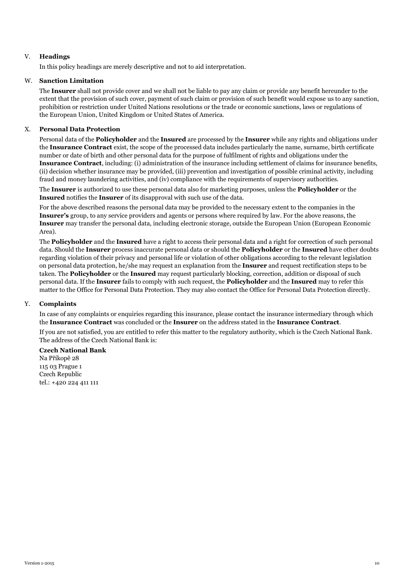#### V. **Headings**

In this policy headings are merely descriptive and not to aid interpretation.

#### W. **Sanction Limitation**

The **Insurer** shall not provide cover and we shall not be liable to pay any claim or provide any benefit hereunder to the extent that the provision of such cover, payment of such claim or provision of such benefit would expose us to any sanction, prohibition or restriction under United Nations resolutions or the trade or economic sanctions, laws or regulations of the European Union, United Kingdom or United States of America.

#### X. **Personal Data Protection**

Personal data of the **Policyholder** and the **Insured** are processed by the **Insurer** while any rights and obligations under the **Insurance Contract** exist, the scope of the processed data includes particularly the name, surname, birth certificate number or date of birth and other personal data for the purpose of fulfilment of rights and obligations under the **Insurance Contract**, including: (i) administration of the insurance including settlement of claims for insurance benefits, (ii) decision whether insurance may be provided, (iii) prevention and investigation of possible criminal activity, including fraud and money laundering activities, and (iv) compliance with the requirements of supervisory authorities.

The **Insurer** is authorized to use these personal data also for marketing purposes, unless the **Policyholder** or the **Insured** notifies the **Insurer** of its disapproval with such use of the data.

For the above described reasons the personal data may be provided to the necessary extent to the companies in the **Insurer's** group, to any service providers and agents or persons where required by law. For the above reasons, the **Insurer** may transfer the personal data, including electronic storage, outside the European Union (European Economic Area).

The **Policyholder** and the **Insured** have a right to access their personal data and a right for correction of such personal data. Should the **Insurer** process inaccurate personal data or should the **Policyholder** or the **Insured** have other doubts regarding violation of their privacy and personal life or violation of other obligations according to the relevant legislation on personal data protection, he/she may request an explanation from the **Insurer** and request rectification steps to be taken. The **Policyholder** or the **Insured** may request particularly blocking, correction, addition or disposal of such personal data. If the **Insurer** fails to comply with such request, the **Policyholder** and the **Insured** may to refer this matter to the Office for Personal Data Protection. They may also contact the Office for Personal Data Protection directly.

#### Y. **Complaints**

In case of any complaints or enquiries regarding this insurance, please contact the insurance intermediary through which the **Insurance Contract** was concluded or the **Insurer** on the address stated in the **Insurance Contract**.

If you are not satisfied, you are entitled to refer this matter to the regulatory authority, which is the Czech National Bank. The address of the Czech National Bank is:

#### **Czech National Bank**

Na Příkopě 28 115 03 Prague 1 Czech Republic tel.: +420 224 411 111